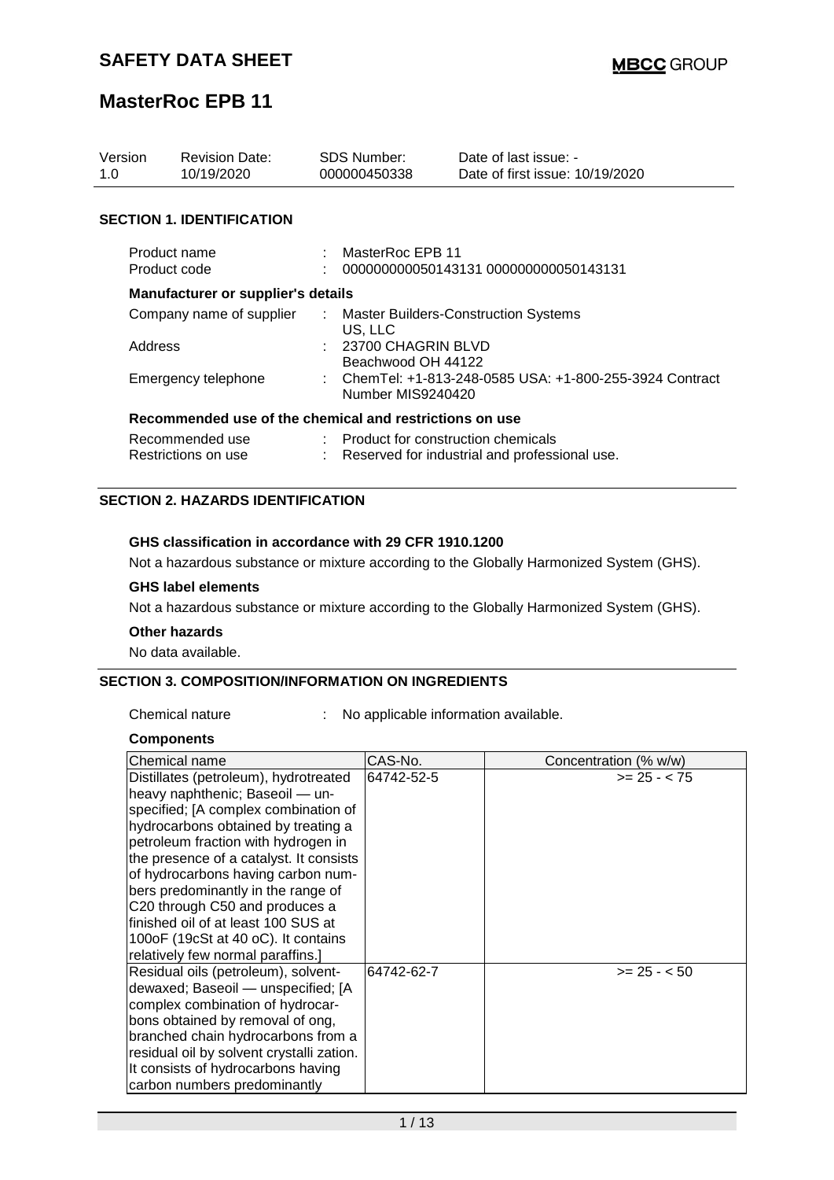| Version<br>1.0           | <b>Revision Date:</b><br>10/19/2020                     |                               | <b>SDS Number:</b><br>000000450338                                            | Date of last issue: -<br>Date of first issue: 10/19/2020 |  |  |
|--------------------------|---------------------------------------------------------|-------------------------------|-------------------------------------------------------------------------------|----------------------------------------------------------|--|--|
|                          | <b>SECTION 1. IDENTIFICATION</b>                        |                               |                                                                               |                                                          |  |  |
|                          | Product name<br>Product code                            |                               | : MasterRoc EPB 11                                                            | 000000000050143131 0000000000050143131                   |  |  |
|                          | <b>Manufacturer or supplier's details</b>               |                               |                                                                               |                                                          |  |  |
| Company name of supplier |                                                         | $\mathcal{I}^{\mathcal{I}}$ . | <b>Master Builders-Construction Systems</b><br>US. LLC                        |                                                          |  |  |
| Address                  |                                                         |                               | : 23700 CHAGRIN BLVD<br>Beachwood OH 44122                                    |                                                          |  |  |
| Emergency telephone      |                                                         |                               | : ChemTel: +1-813-248-0585 USA: +1-800-255-3924 Contract<br>Number MIS9240420 |                                                          |  |  |
|                          | Recommended use of the chemical and restrictions on use |                               |                                                                               |                                                          |  |  |
|                          | Recommended use                                         |                               | : Product for construction chemicals                                          |                                                          |  |  |
| Restrictions on use      |                                                         |                               |                                                                               | Reserved for industrial and professional use.            |  |  |

### **SECTION 2. HAZARDS IDENTIFICATION**

#### **GHS classification in accordance with 29 CFR 1910.1200**

Not a hazardous substance or mixture according to the Globally Harmonized System (GHS).

#### **GHS label elements**

Not a hazardous substance or mixture according to the Globally Harmonized System (GHS).

#### **Other hazards**

No data available.

#### **SECTION 3. COMPOSITION/INFORMATION ON INGREDIENTS**

Chemical nature : No applicable information available.

#### **Components**

| Chemical name                             | CAS-No.    | Concentration (% w/w) |
|-------------------------------------------|------------|-----------------------|
| Distillates (petroleum), hydrotreated     | 64742-52-5 | $>= 25 - < 75$        |
| heavy naphthenic; Baseoil - un-           |            |                       |
| specified; [A complex combination of      |            |                       |
| hydrocarbons obtained by treating a       |            |                       |
| petroleum fraction with hydrogen in       |            |                       |
| the presence of a catalyst. It consists   |            |                       |
| of hydrocarbons having carbon num-        |            |                       |
| bers predominantly in the range of        |            |                       |
| C20 through C50 and produces a            |            |                       |
| finished oil of at least 100 SUS at       |            |                       |
| 100oF (19cSt at 40 oC). It contains       |            |                       |
| relatively few normal paraffins.]         |            |                       |
| Residual oils (petroleum), solvent-       | 64742-62-7 | $>= 25 - 50$          |
| dewaxed; Baseoil - unspecified; [A        |            |                       |
| complex combination of hydrocar-          |            |                       |
| bons obtained by removal of ong,          |            |                       |
| branched chain hydrocarbons from a        |            |                       |
| residual oil by solvent crystalli zation. |            |                       |
| It consists of hydrocarbons having        |            |                       |
| carbon numbers predominantly              |            |                       |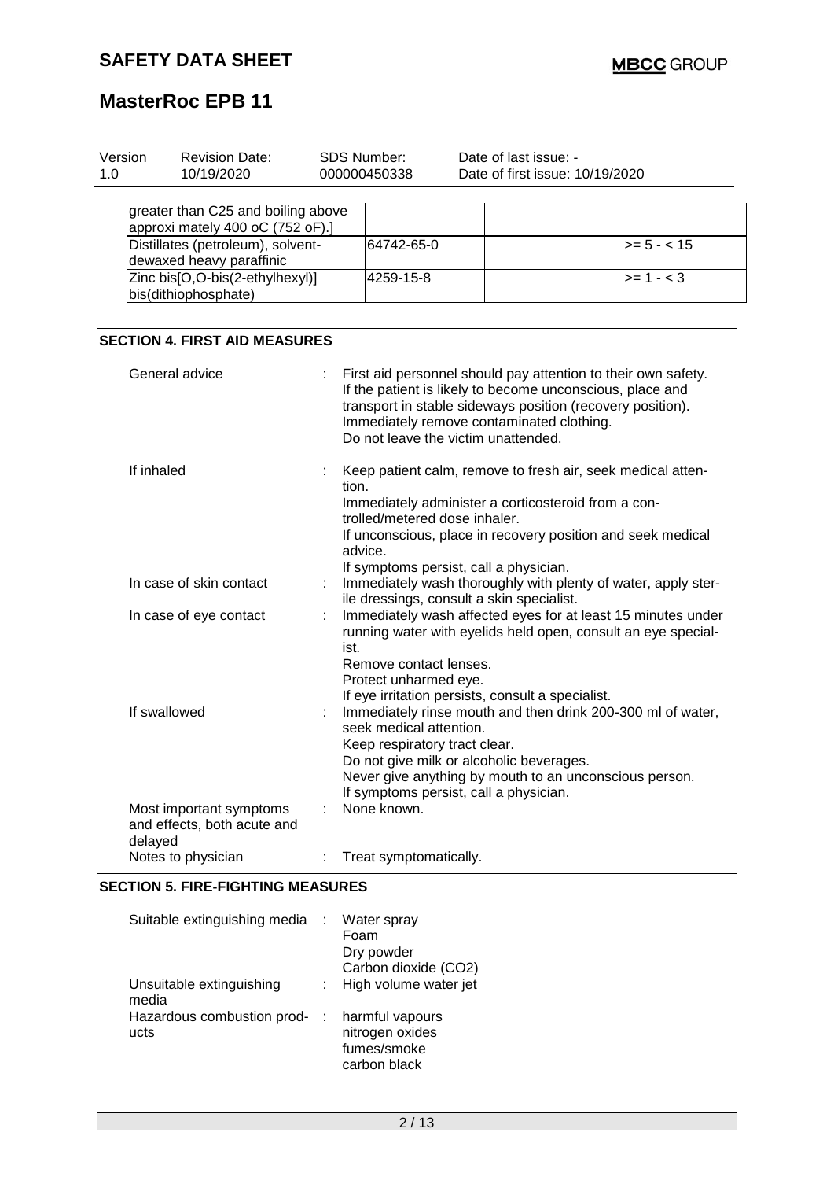| Version<br>1.0 | <b>Revision Date:</b><br>10/19/2020                                    |       | SDS Number:<br>000000450338                                                                                                                                                                                                                   | Date of last issue: -<br>Date of first issue: 10/19/2020                                                                                                                                                    |                                                                                                                            |  |
|----------------|------------------------------------------------------------------------|-------|-----------------------------------------------------------------------------------------------------------------------------------------------------------------------------------------------------------------------------------------------|-------------------------------------------------------------------------------------------------------------------------------------------------------------------------------------------------------------|----------------------------------------------------------------------------------------------------------------------------|--|
|                |                                                                        |       |                                                                                                                                                                                                                                               |                                                                                                                                                                                                             |                                                                                                                            |  |
|                | greater than C25 and boiling above<br>approxi mately 400 oC (752 oF).] |       |                                                                                                                                                                                                                                               |                                                                                                                                                                                                             |                                                                                                                            |  |
|                | Distillates (petroleum), solvent-<br>dewaxed heavy paraffinic          |       | 64742-65-0                                                                                                                                                                                                                                    |                                                                                                                                                                                                             | $>= 5 - < 15$                                                                                                              |  |
|                | Zinc bis[O,O-bis(2-ethylhexyl)]<br>bis(dithiophosphate)                |       | 4259-15-8                                                                                                                                                                                                                                     |                                                                                                                                                                                                             | $>= 1 - < 3$                                                                                                               |  |
|                |                                                                        |       |                                                                                                                                                                                                                                               |                                                                                                                                                                                                             |                                                                                                                            |  |
|                | <b>SECTION 4. FIRST AID MEASURES</b>                                   |       |                                                                                                                                                                                                                                               |                                                                                                                                                                                                             |                                                                                                                            |  |
|                | General advice                                                         |       |                                                                                                                                                                                                                                               | If the patient is likely to become unconscious, place and<br>transport in stable sideways position (recovery position).<br>Immediately remove contaminated clothing.<br>Do not leave the victim unattended. | First aid personnel should pay attention to their own safety.                                                              |  |
| If inhaled     |                                                                        | tion. | trolled/metered dose inhaler.<br>advice.                                                                                                                                                                                                      | Immediately administer a corticosteroid from a con-<br>If symptoms persist, call a physician.                                                                                                               | Keep patient calm, remove to fresh air, seek medical atten-<br>If unconscious, place in recovery position and seek medical |  |
|                | In case of skin contact                                                |       |                                                                                                                                                                                                                                               | ile dressings, consult a skin specialist.                                                                                                                                                                   | Immediately wash thoroughly with plenty of water, apply ster-                                                              |  |
|                | In case of eye contact                                                 |       | Immediately wash affected eyes for at least 15 minutes under<br>running water with eyelids held open, consult an eye special-<br>ist.<br>Remove contact lenses.<br>Protect unharmed eye.<br>If eye irritation persists, consult a specialist. |                                                                                                                                                                                                             |                                                                                                                            |  |
|                | If swallowed                                                           |       | seek medical attention.<br>Keep respiratory tract clear.                                                                                                                                                                                      | Do not give milk or alcoholic beverages.<br>If symptoms persist, call a physician.                                                                                                                          | Immediately rinse mouth and then drink 200-300 ml of water,<br>Never give anything by mouth to an unconscious person.      |  |
| delayed        | Most important symptoms<br>and effects, both acute and                 |       | None known.                                                                                                                                                                                                                                   |                                                                                                                                                                                                             |                                                                                                                            |  |
|                | Notes to physician                                                     |       | Treat symptomatically.                                                                                                                                                                                                                        |                                                                                                                                                                                                             |                                                                                                                            |  |

### **SECTION 5. FIRE-FIGHTING MEASURES**

| Suitable extinguishing media       | Water spray<br>Foam<br>Dry powder                                 |
|------------------------------------|-------------------------------------------------------------------|
|                                    | Carbon dioxide (CO2)                                              |
| Unsuitable extinguishing<br>media  | High volume water jet                                             |
| Hazardous combustion prod-<br>ucts | harmful vapours<br>nitrogen oxides<br>fumes/smoke<br>carbon black |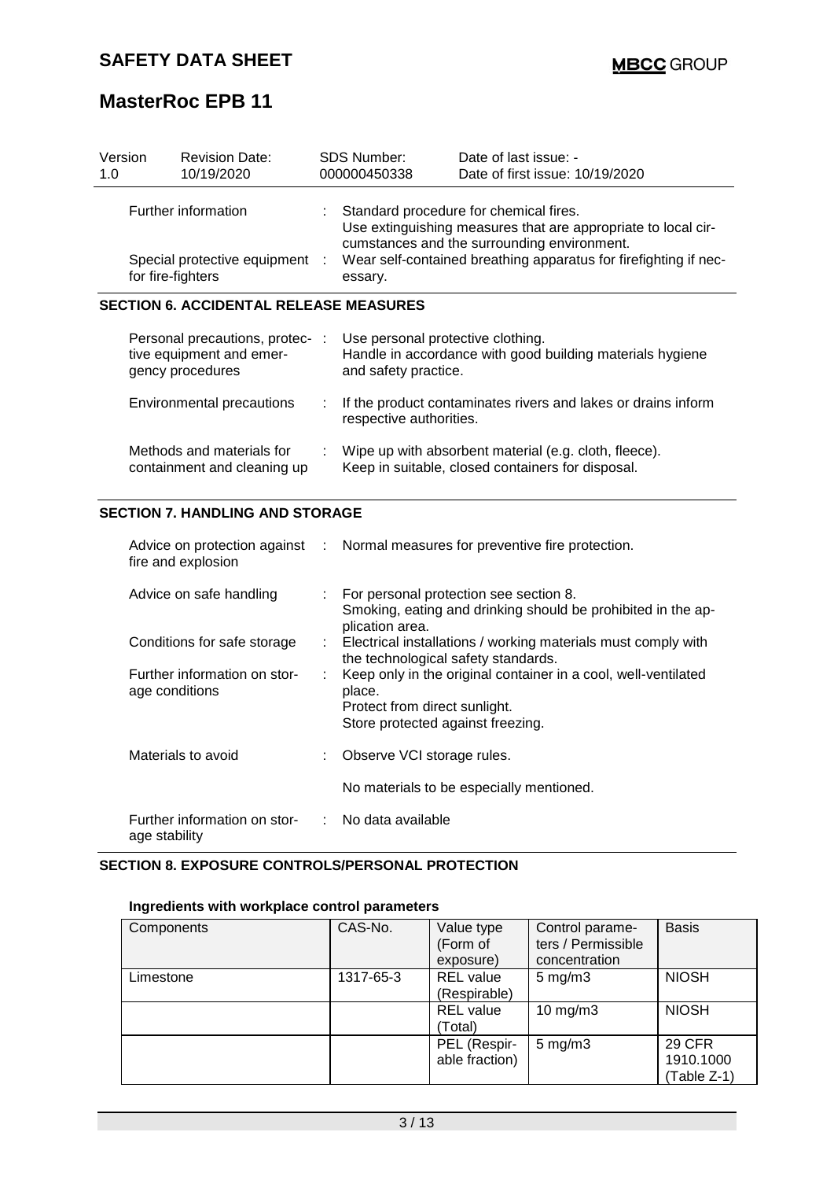| Version<br>1.0                                                             | <b>Revision Date:</b><br>10/19/2020                                            |    | SDS Number:<br>000000450338                                                                                                                                                                                                           | Date of last issue: -<br>Date of first issue: 10/19/2020                                                   |  |
|----------------------------------------------------------------------------|--------------------------------------------------------------------------------|----|---------------------------------------------------------------------------------------------------------------------------------------------------------------------------------------------------------------------------------------|------------------------------------------------------------------------------------------------------------|--|
| Further information<br>Special protective equipment :<br>for fire-fighters |                                                                                |    | Standard procedure for chemical fires.<br>Use extinguishing measures that are appropriate to local cir-<br>cumstances and the surrounding environment.<br>Wear self-contained breathing apparatus for firefighting if nec-<br>essary. |                                                                                                            |  |
|                                                                            | <b>SECTION 6. ACCIDENTAL RELEASE MEASURES</b>                                  |    |                                                                                                                                                                                                                                       |                                                                                                            |  |
|                                                                            | Personal precautions, protec-:<br>tive equipment and emer-<br>gency procedures |    | Use personal protective clothing.<br>and safety practice.                                                                                                                                                                             | Handle in accordance with good building materials hygiene                                                  |  |
|                                                                            | Environmental precautions                                                      | ÷. | respective authorities.                                                                                                                                                                                                               | If the product contaminates rivers and lakes or drains inform                                              |  |
|                                                                            | Methods and materials for<br>containment and cleaning up                       |    |                                                                                                                                                                                                                                       | Wipe up with absorbent material (e.g. cloth, fleece).<br>Keep in suitable, closed containers for disposal. |  |

### **SECTION 7. HANDLING AND STORAGE**

| fire and explosion                             |    | Advice on protection against : Normal measures for preventive fire protection.                                                                 |
|------------------------------------------------|----|------------------------------------------------------------------------------------------------------------------------------------------------|
| Advice on safe handling                        | t. | For personal protection see section 8.<br>Smoking, eating and drinking should be prohibited in the ap-<br>plication area.                      |
| Conditions for safe storage                    |    | : Electrical installations / working materials must comply with<br>the technological safety standards.                                         |
| Further information on stor-<br>age conditions |    | Keep only in the original container in a cool, well-ventilated<br>place.<br>Protect from direct sunlight.<br>Store protected against freezing. |
| Materials to avoid                             |    | : Observe VCI storage rules.                                                                                                                   |
|                                                |    | No materials to be especially mentioned.                                                                                                       |
| Further information on stor-<br>age stability  |    | : No data available                                                                                                                            |

# **SECTION 8. EXPOSURE CONTROLS/PERSONAL PROTECTION**

### **Ingredients with workplace control parameters**

| Components | CAS-No.   | Value type<br>(Form of<br>exposure) | Control parame-<br>ters / Permissible<br>concentration | <b>Basis</b>                                |
|------------|-----------|-------------------------------------|--------------------------------------------------------|---------------------------------------------|
| Limestone  | 1317-65-3 | <b>REL</b> value<br>(Respirable)    | $5$ mg/m $3$                                           | <b>NIOSH</b>                                |
|            |           | <b>REL</b> value<br>(Total)         | $10 \text{ mg/m}$ 3                                    | <b>NIOSH</b>                                |
|            |           | PEL (Respir-<br>able fraction)      | $5$ mg/m $3$                                           | <b>29 CFR</b><br>1910.1000<br>$(Table Z-1)$ |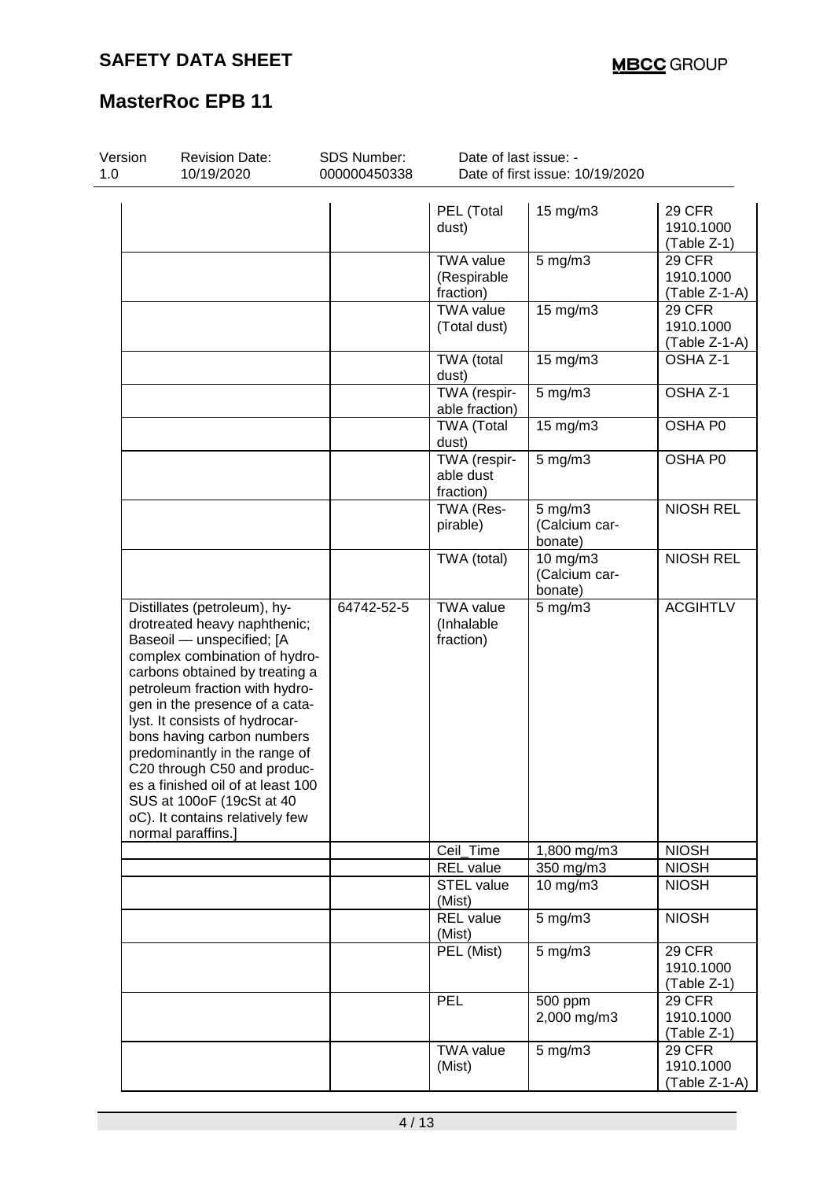| Version<br>1.0 | <b>Revision Date:</b><br>10/19/2020                                                                                                                                                                                                                                                                                                                                                                                                                                                         | SDS Number:<br>000000450338 | Date of last issue: -<br>Date of first issue: 10/19/2020 |                                          |                                             |  |
|----------------|---------------------------------------------------------------------------------------------------------------------------------------------------------------------------------------------------------------------------------------------------------------------------------------------------------------------------------------------------------------------------------------------------------------------------------------------------------------------------------------------|-----------------------------|----------------------------------------------------------|------------------------------------------|---------------------------------------------|--|
|                |                                                                                                                                                                                                                                                                                                                                                                                                                                                                                             |                             | PEL (Total<br>dust)                                      | 15 mg/m3                                 | <b>29 CFR</b><br>1910.1000<br>(Table Z-1)   |  |
|                |                                                                                                                                                                                                                                                                                                                                                                                                                                                                                             |                             | <b>TWA value</b><br>(Respirable<br>fraction)             | $5$ mg/m $3$                             | <b>29 CFR</b><br>1910.1000<br>(Table Z-1-A) |  |
|                |                                                                                                                                                                                                                                                                                                                                                                                                                                                                                             |                             | <b>TWA value</b><br>(Total dust)                         | 15 mg/m3                                 | <b>29 CFR</b><br>1910.1000<br>(Table Z-1-A) |  |
|                |                                                                                                                                                                                                                                                                                                                                                                                                                                                                                             |                             | TWA (total<br>dust)                                      | 15 mg/m3                                 | OSHA Z-1                                    |  |
|                |                                                                                                                                                                                                                                                                                                                                                                                                                                                                                             |                             | TWA (respir-<br>able fraction)                           | $5$ mg/m $3$                             | OSHA Z-1                                    |  |
|                |                                                                                                                                                                                                                                                                                                                                                                                                                                                                                             |                             | <b>TWA (Total</b><br>dust)                               | 15 mg/m3                                 | OSHA P0                                     |  |
|                |                                                                                                                                                                                                                                                                                                                                                                                                                                                                                             |                             | TWA (respir-<br>able dust<br>fraction)                   | $5$ mg/m $3$                             | OSHA P0                                     |  |
|                |                                                                                                                                                                                                                                                                                                                                                                                                                                                                                             |                             | TWA (Res-<br>pirable)                                    | $5$ mg/m $3$<br>(Calcium car-<br>bonate) | <b>NIOSH REL</b>                            |  |
|                |                                                                                                                                                                                                                                                                                                                                                                                                                                                                                             |                             | TWA (total)                                              | 10 mg/m3<br>(Calcium car-<br>bonate)     | <b>NIOSH REL</b>                            |  |
|                | Distillates (petroleum), hy-<br>drotreated heavy naphthenic;<br>Baseoil - unspecified; [A<br>complex combination of hydro-<br>carbons obtained by treating a<br>petroleum fraction with hydro-<br>gen in the presence of a cata-<br>lyst. It consists of hydrocar-<br>bons having carbon numbers<br>predominantly in the range of<br>C20 through C50 and produc-<br>es a finished oil of at least 100<br>SUS at 100oF (19cSt at 40<br>oC). It contains relatively few<br>normal paraffins.] | 64742-52-5                  | <b>TWA value</b><br>(Inhalable<br>fraction)              | $5$ mg/m $3$                             | <b>ACGIHTLV</b>                             |  |
|                |                                                                                                                                                                                                                                                                                                                                                                                                                                                                                             |                             | Ceil_Time                                                | 1,800 mg/m3                              | <b>NIOSH</b>                                |  |
|                |                                                                                                                                                                                                                                                                                                                                                                                                                                                                                             |                             | <b>REL</b> value<br><b>STEL value</b><br>(Mist)          | 350 mg/m3<br>10 $mg/m3$                  | <b>NIOSH</b><br><b>NIOSH</b>                |  |
|                |                                                                                                                                                                                                                                                                                                                                                                                                                                                                                             |                             | <b>REL</b> value<br>(Mist)                               | $5$ mg/m $3$                             | <b>NIOSH</b>                                |  |
|                |                                                                                                                                                                                                                                                                                                                                                                                                                                                                                             |                             | PEL (Mist)                                               | $5$ mg/m $3$                             | <b>29 CFR</b><br>1910.1000<br>(Table Z-1)   |  |
|                |                                                                                                                                                                                                                                                                                                                                                                                                                                                                                             |                             | PEL                                                      | 500 ppm<br>2,000 mg/m3                   | <b>29 CFR</b><br>1910.1000<br>(Table Z-1)   |  |
|                |                                                                                                                                                                                                                                                                                                                                                                                                                                                                                             |                             | <b>TWA value</b><br>(Mist)                               | $5$ mg/m $3$                             | <b>29 CFR</b><br>1910.1000<br>(Table Z-1-A) |  |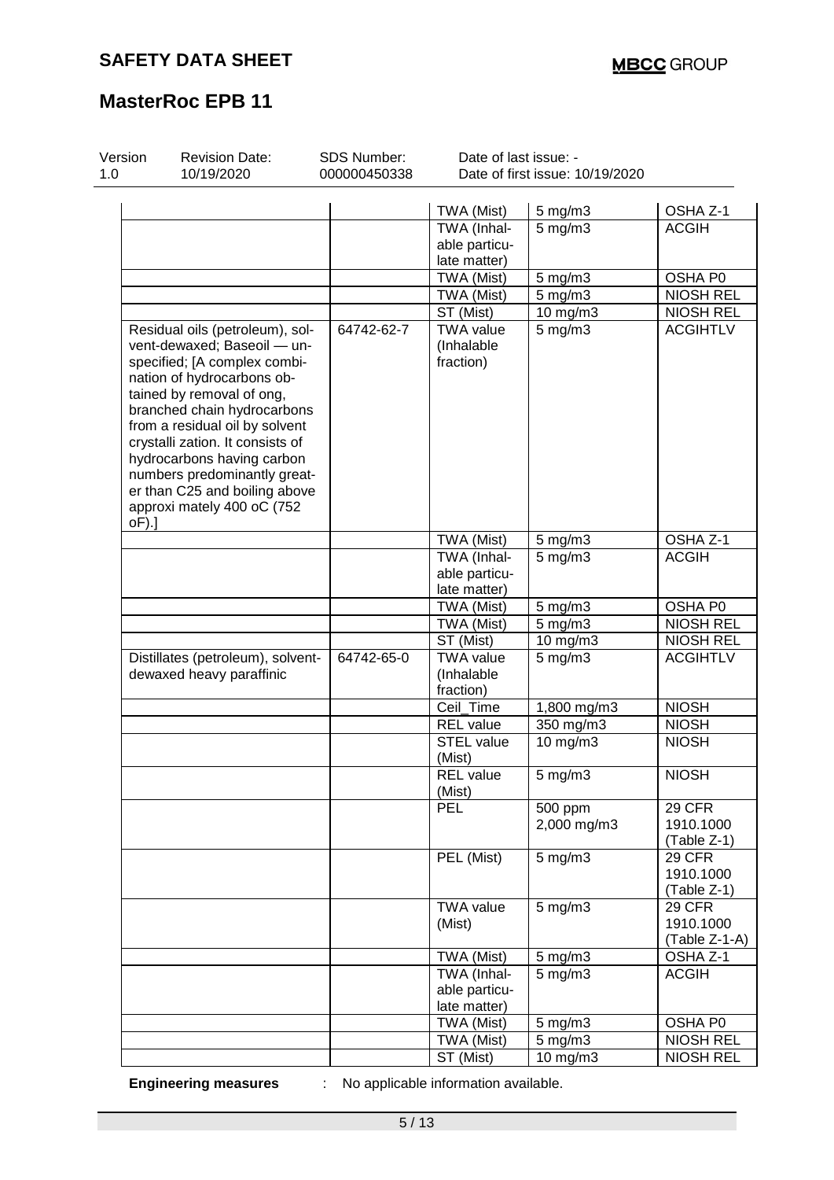| Version<br>1.0 | <b>Revision Date:</b><br>10/19/2020                            | SDS Number:<br>000000450338 | Date of last issue: -<br>Date of first issue: 10/19/2020 |                    |                  |  |
|----------------|----------------------------------------------------------------|-----------------------------|----------------------------------------------------------|--------------------|------------------|--|
|                |                                                                |                             |                                                          |                    |                  |  |
|                |                                                                |                             | TWA (Mist)                                               | $5$ mg/m $3$       | OSHA Z-1         |  |
|                |                                                                |                             | TWA (Inhal-                                              | $5$ mg/m $3$       | <b>ACGIH</b>     |  |
|                |                                                                |                             | able particu-                                            |                    |                  |  |
|                |                                                                |                             | late matter)                                             |                    |                  |  |
|                |                                                                |                             | TWA (Mist)                                               | $5$ mg/m $3$       | OSHA P0          |  |
|                |                                                                |                             | TWA (Mist)                                               | $5$ mg/m $3$       | <b>NIOSH REL</b> |  |
|                |                                                                |                             | ST (Mist)                                                | 10 mg/m3           | <b>NIOSH REL</b> |  |
|                | Residual oils (petroleum), sol-<br>vent-dewaxed; Baseoil - un- | 64742-62-7                  | <b>TWA value</b><br>(Inhalable                           | $5$ mg/m $3$       | <b>ACGIHTLV</b>  |  |
|                | specified; [A complex combi-<br>nation of hydrocarbons ob-     |                             | fraction)                                                |                    |                  |  |
|                | tained by removal of ong,                                      |                             |                                                          |                    |                  |  |
|                | branched chain hydrocarbons                                    |                             |                                                          |                    |                  |  |
|                | from a residual oil by solvent                                 |                             |                                                          |                    |                  |  |
|                | crystalli zation. It consists of                               |                             |                                                          |                    |                  |  |
|                | hydrocarbons having carbon                                     |                             |                                                          |                    |                  |  |
|                | numbers predominantly great-                                   |                             |                                                          |                    |                  |  |
|                | er than C25 and boiling above                                  |                             |                                                          |                    |                  |  |
| oF).]          | approxi mately 400 oC (752                                     |                             |                                                          |                    |                  |  |
|                |                                                                |                             | TWA (Mist)                                               | $5$ mg/m $3$       | OSHA Z-1         |  |
|                |                                                                |                             | TWA (Inhal-                                              | $5$ mg/m $3$       | <b>ACGIH</b>     |  |
|                |                                                                |                             | able particu-                                            |                    |                  |  |
|                |                                                                |                             | late matter)                                             |                    |                  |  |
|                |                                                                |                             | TWA (Mist)                                               | 5 mg/m3            | OSHA P0          |  |
|                |                                                                |                             | TWA (Mist)                                               | $5$ mg/m $3$       | <b>NIOSH REL</b> |  |
|                |                                                                |                             | ST (Mist)                                                | 10 mg/m3           | <b>NIOSH REL</b> |  |
|                | Distillates (petroleum), solvent-                              | 64742-65-0                  | <b>TWA</b> value                                         | $5$ mg/m $3$       | <b>ACGIHTLV</b>  |  |
|                | dewaxed heavy paraffinic                                       |                             | (Inhalable                                               |                    |                  |  |
|                |                                                                |                             | fraction)                                                |                    |                  |  |
|                |                                                                |                             | Ceil_Time                                                | 1,800 mg/m3        | <b>NIOSH</b>     |  |
|                |                                                                |                             | <b>REL</b> value                                         | 350 mg/m3          | <b>NIOSH</b>     |  |
|                |                                                                |                             | <b>STEL value</b>                                        | 10 mg/m3           | <b>NIOSH</b>     |  |
|                |                                                                |                             | (Mist)                                                   |                    |                  |  |
|                |                                                                |                             | <b>REL</b> value<br>(Mist)                               | 5 mg/m3            | <b>NIOSH</b>     |  |
|                |                                                                |                             | <b>PEL</b>                                               | 500 ppm            | <b>29 CFR</b>    |  |
|                |                                                                |                             |                                                          | 2,000 mg/m3        | 1910.1000        |  |
|                |                                                                |                             |                                                          |                    | (Table Z-1)      |  |
|                |                                                                |                             | PEL (Mist)                                               | $5$ mg/m $3$       | <b>29 CFR</b>    |  |
|                |                                                                |                             |                                                          |                    | 1910.1000        |  |
|                |                                                                |                             |                                                          |                    | (Table Z-1)      |  |
|                |                                                                |                             | <b>TWA value</b>                                         | $5$ mg/m $3$       | <b>29 CFR</b>    |  |
|                |                                                                |                             | (Mist)                                                   |                    | 1910.1000        |  |
|                |                                                                |                             |                                                          |                    | $(Table Z-1-A)$  |  |
|                |                                                                |                             | TWA (Mist)                                               | $5 \text{ mg/m}$ 3 | OSHA Z-1         |  |
|                |                                                                |                             | TWA (Inhal-                                              | $5$ mg/m $3$       | <b>ACGIH</b>     |  |
|                |                                                                |                             | able particu-                                            |                    |                  |  |
|                |                                                                |                             | late matter)                                             |                    |                  |  |
|                |                                                                |                             | TWA (Mist)                                               | $5 \text{ mg/m}$ 3 | OSHA P0          |  |
|                |                                                                |                             | TWA (Mist)                                               | $5$ mg/m $3$       | <b>NIOSH REL</b> |  |
|                |                                                                |                             | ST (Mist)                                                | 10 mg/m3           | <b>NIOSH REL</b> |  |

**Engineering measures** : No applicable information available.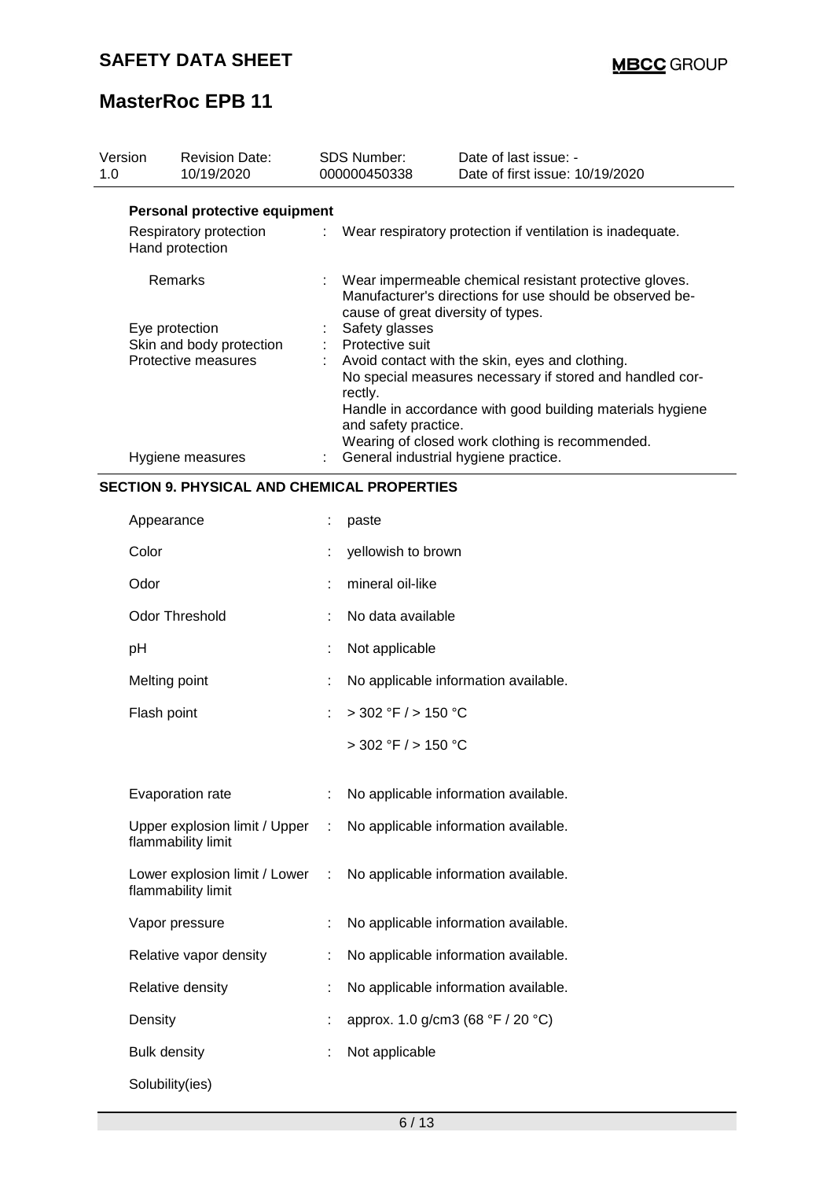| Version<br>1.0      | <b>Revision Date:</b><br>10/19/2020       |    | <b>SDS Number:</b><br>000000450338                                                                                                                       | Date of last issue: -<br>Date of first issue: 10/19/2020    |  |
|---------------------|-------------------------------------------|----|----------------------------------------------------------------------------------------------------------------------------------------------------------|-------------------------------------------------------------|--|
|                     | Personal protective equipment             |    |                                                                                                                                                          |                                                             |  |
|                     | Respiratory protection<br>Hand protection |    |                                                                                                                                                          | : Wear respiratory protection if ventilation is inadequate. |  |
| <b>Remarks</b>      |                                           |    | Wear impermeable chemical resistant protective gloves.<br>Manufacturer's directions for use should be observed be-<br>cause of great diversity of types. |                                                             |  |
|                     | Eye protection                            | t. | Safety glasses<br>Protective suit                                                                                                                        |                                                             |  |
|                     | Skin and body protection                  |    |                                                                                                                                                          |                                                             |  |
| Protective measures |                                           |    |                                                                                                                                                          | Avoid contact with the skin, eyes and clothing.             |  |
|                     |                                           |    | rectly.                                                                                                                                                  | No special measures necessary if stored and handled cor-    |  |
|                     |                                           |    | and safety practice.                                                                                                                                     | Handle in accordance with good building materials hygiene   |  |
|                     |                                           |    |                                                                                                                                                          | Wearing of closed work clothing is recommended.             |  |
|                     | Hygiene measures                          |    |                                                                                                                                                          | General industrial hygiene practice.                        |  |
|                     |                                           |    |                                                                                                                                                          |                                                             |  |

### **SECTION 9. PHYSICAL AND CHEMICAL PROPERTIES**

| Appearance                                          | t  | paste                                |
|-----------------------------------------------------|----|--------------------------------------|
| Color                                               |    | yellowish to brown                   |
| Odor                                                | t  | mineral oil-like                     |
| <b>Odor Threshold</b>                               | t  | No data available                    |
| pH                                                  | t  | Not applicable                       |
| Melting point                                       | t  | No applicable information available. |
| Flash point                                         | t, | $>$ 302 °F / $>$ 150 °C              |
|                                                     |    | $>$ 302 °F $/$ > 150 °C              |
| Evaporation rate                                    | t, | No applicable information available. |
|                                                     |    |                                      |
| Upper explosion limit / Upper<br>flammability limit | ÷  | No applicable information available. |
| Lower explosion limit / Lower<br>flammability limit | ÷  | No applicable information available. |
| Vapor pressure                                      | t, | No applicable information available. |
| Relative vapor density                              | t  | No applicable information available. |
| Relative density                                    | t  | No applicable information available. |
| Density                                             | ÷  | approx. 1.0 g/cm3 (68 °F / 20 °C)    |
| <b>Bulk density</b>                                 | t  | Not applicable                       |
| Solubility(ies)                                     |    |                                      |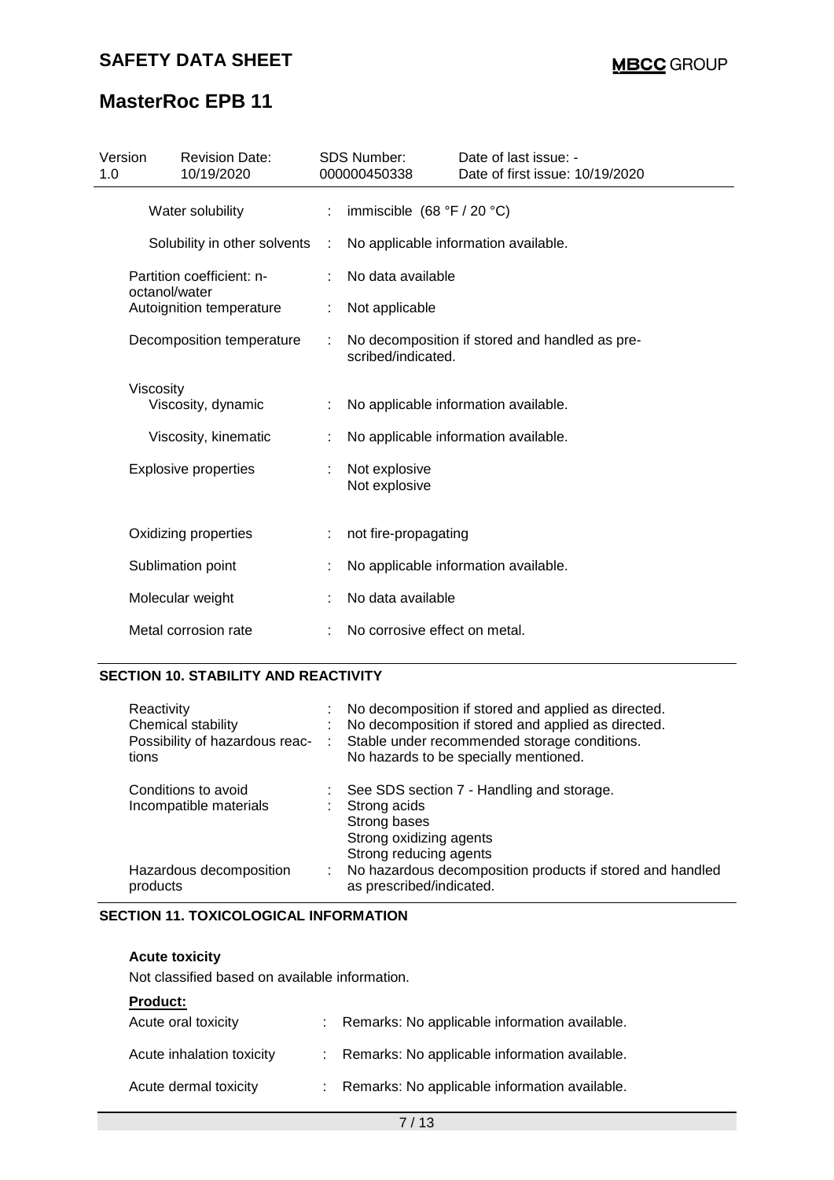| Version<br>1.0 | <b>Revision Date:</b><br>10/19/2020        |   | <b>SDS Number:</b><br>000000450338 | Date of last issue: -<br>Date of first issue: 10/19/2020 |  |  |  |  |
|----------------|--------------------------------------------|---|------------------------------------|----------------------------------------------------------|--|--|--|--|
|                | Water solubility                           |   | immiscible $(68 °F / 20 °C)$<br>÷  |                                                          |  |  |  |  |
|                | Solubility in other solvents               | ÷ |                                    | No applicable information available.                     |  |  |  |  |
|                | Partition coefficient: n-<br>octanol/water |   | No data available                  |                                                          |  |  |  |  |
|                | Autoignition temperature                   |   | Not applicable                     |                                                          |  |  |  |  |
|                | Decomposition temperature                  | ÷ | scribed/indicated.                 | No decomposition if stored and handled as pre-           |  |  |  |  |
|                | <b>Viscosity</b>                           |   |                                    |                                                          |  |  |  |  |
|                | Viscosity, dynamic                         |   |                                    | No applicable information available.                     |  |  |  |  |
|                | Viscosity, kinematic                       |   |                                    | No applicable information available.                     |  |  |  |  |
|                | <b>Explosive properties</b>                |   | Not explosive<br>Not explosive     |                                                          |  |  |  |  |
|                | Oxidizing properties                       |   | not fire-propagating               |                                                          |  |  |  |  |
|                | Sublimation point                          |   |                                    | No applicable information available.                     |  |  |  |  |
|                | Molecular weight                           |   | No data available                  |                                                          |  |  |  |  |
|                | Metal corrosion rate                       |   | No corrosive effect on metal.      |                                                          |  |  |  |  |

# **SECTION 10. STABILITY AND REACTIVITY**

| Reactivity<br>Chemical stability<br>Possibility of hazardous reac-<br>tions | No decomposition if stored and applied as directed.<br>No decomposition if stored and applied as directed.<br>Stable under recommended storage conditions.<br>No hazards to be specially mentioned. |
|-----------------------------------------------------------------------------|-----------------------------------------------------------------------------------------------------------------------------------------------------------------------------------------------------|
| Conditions to avoid<br>Incompatible materials                               | See SDS section 7 - Handling and storage.<br>Strong acids<br>Strong bases<br>Strong oxidizing agents<br>Strong reducing agents                                                                      |
| Hazardous decomposition<br>products                                         | No hazardous decomposition products if stored and handled<br>as prescribed/indicated.                                                                                                               |

## **SECTION 11. TOXICOLOGICAL INFORMATION**

#### **Acute toxicity**

Not classified based on available information.

#### **Product:**

| Acute oral toxicity       | Remarks: No applicable information available.   |
|---------------------------|-------------------------------------------------|
| Acute inhalation toxicity | : Remarks: No applicable information available. |
| Acute dermal toxicity     | : Remarks: No applicable information available. |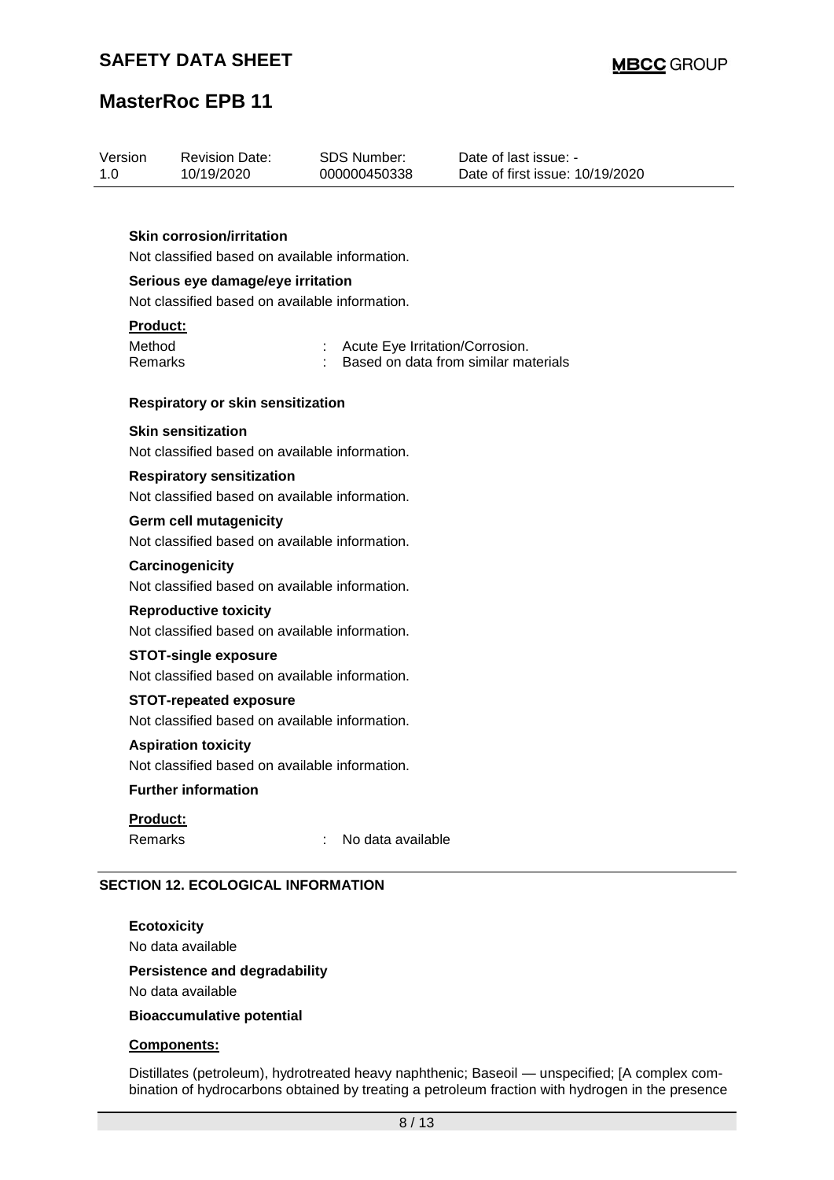| Version | <b>Revision Date:</b> | SDS Number:  | Date of last issue: -           |
|---------|-----------------------|--------------|---------------------------------|
| 1.0     | 10/19/2020            | 000000450338 | Date of first issue: 10/19/2020 |
|         |                       |              |                                 |

### **Skin corrosion/irritation**

Not classified based on available information.

#### **Serious eye damage/eye irritation**

Not classified based on available information.

#### **Product:**

| Method  | Acute Eye Irritation/Corrosion.      |
|---------|--------------------------------------|
| Remarks | Based on data from similar materials |

#### **Respiratory or skin sensitization**

#### **Skin sensitization**

Not classified based on available information.

# **Respiratory sensitization**

Not classified based on available information.

### **Germ cell mutagenicity**

Not classified based on available information.

#### **Carcinogenicity**

Not classified based on available information.

#### **Reproductive toxicity**

Not classified based on available information.

#### **STOT-single exposure**

Not classified based on available information.

### **STOT-repeated exposure**

Not classified based on available information.

#### **Aspiration toxicity**

Not classified based on available information.

### **Further information**

#### **Product:**

Remarks : No data available

# **SECTION 12. ECOLOGICAL INFORMATION**

# **Ecotoxicity**

No data available

# **Persistence and degradability**

No data available

### **Bioaccumulative potential**

### **Components:**

Distillates (petroleum), hydrotreated heavy naphthenic; Baseoil — unspecified; [A complex combination of hydrocarbons obtained by treating a petroleum fraction with hydrogen in the presence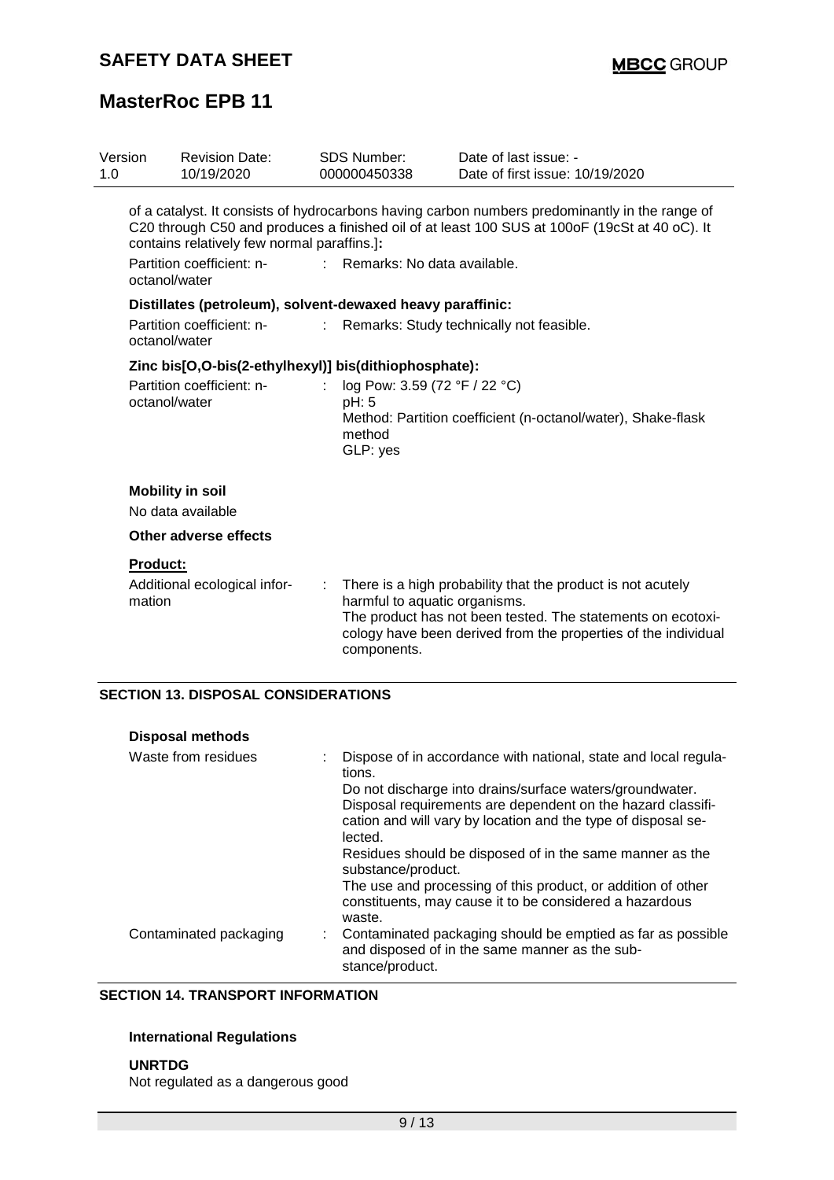| Version<br>1.0 |                 | <b>Revision Date:</b><br>10/19/2020                        |    | SDS Number:<br>000000450338                                  | Date of last issue: -<br>Date of first issue: 10/19/2020                                                                                                                                        |
|----------------|-----------------|------------------------------------------------------------|----|--------------------------------------------------------------|-------------------------------------------------------------------------------------------------------------------------------------------------------------------------------------------------|
|                |                 | contains relatively few normal paraffins.]:                |    |                                                              | of a catalyst. It consists of hydrocarbons having carbon numbers predominantly in the range of<br>C20 through C50 and produces a finished oil of at least 100 SUS at 100oF (19cSt at 40 oC). It |
|                | octanol/water   | Partition coefficient: n-                                  |    | Remarks: No data available.                                  |                                                                                                                                                                                                 |
|                |                 | Distillates (petroleum), solvent-dewaxed heavy paraffinic: |    |                                                              |                                                                                                                                                                                                 |
|                | octanol/water   | Partition coefficient: n-                                  | t. |                                                              | Remarks: Study technically not feasible.                                                                                                                                                        |
|                |                 | Zinc bis[O,O-bis(2-ethylhexyl)] bis(dithiophosphate):      |    |                                                              |                                                                                                                                                                                                 |
|                | octanol/water   | Partition coefficient: n-                                  |    | log Pow: 3.59 (72 °F / 22 °C)<br>pH: 5<br>method<br>GLP: yes | Method: Partition coefficient (n-octanol/water), Shake-flask                                                                                                                                    |
|                |                 | <b>Mobility in soil</b>                                    |    |                                                              |                                                                                                                                                                                                 |
|                |                 | No data available                                          |    |                                                              |                                                                                                                                                                                                 |
|                |                 | Other adverse effects                                      |    |                                                              |                                                                                                                                                                                                 |
|                | <b>Product:</b> |                                                            |    |                                                              |                                                                                                                                                                                                 |
|                | mation          | Additional ecological infor-                               |    | harmful to aquatic organisms.<br>components.                 | There is a high probability that the product is not acutely<br>The product has not been tested. The statements on ecotoxi-<br>cology have been derived from the properties of the individual    |
|                |                 | <b>SECTION 13. DISPOSAL CONSIDERATIONS</b>                 |    |                                                              |                                                                                                                                                                                                 |
|                |                 | <b>Disposal methods</b>                                    |    |                                                              |                                                                                                                                                                                                 |
|                |                 | Waste from residues                                        |    |                                                              | Dispose of in accordance with national, state and local regula-                                                                                                                                 |

| Waste from residues    | Dispose of in accordance with national, state and local regula-<br>tions.                                                         |
|------------------------|-----------------------------------------------------------------------------------------------------------------------------------|
|                        | Do not discharge into drains/surface waters/groundwater.<br>Disposal requirements are dependent on the hazard classifi-           |
|                        | cation and will vary by location and the type of disposal se-<br>lected.                                                          |
|                        | Residues should be disposed of in the same manner as the<br>substance/product.                                                    |
|                        | The use and processing of this product, or addition of other<br>constituents, may cause it to be considered a hazardous<br>waste. |
| Contaminated packaging | Contaminated packaging should be emptied as far as possible<br>and disposed of in the same manner as the sub-<br>stance/product.  |

### **SECTION 14. TRANSPORT INFORMATION**

# **International Regulations**

### **UNRTDG**

Not regulated as a dangerous good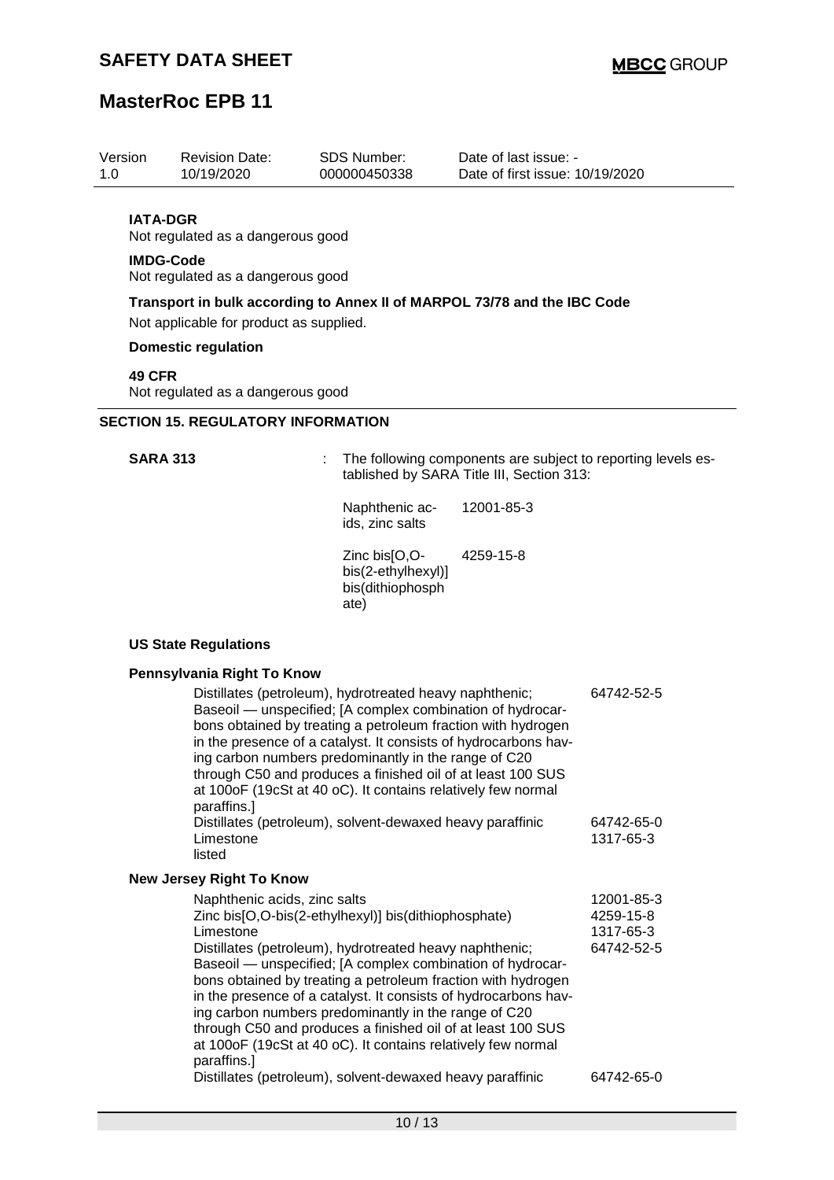| 1.0                                       | Version                                            | <b>Revision Date:</b><br>10/19/2020     | SDS Number:<br>000000450338                             | Date of last issue: -<br>Date of first issue: 10/19/2020                                                  |  |  |  |
|-------------------------------------------|----------------------------------------------------|-----------------------------------------|---------------------------------------------------------|-----------------------------------------------------------------------------------------------------------|--|--|--|
|                                           | <b>IATA-DGR</b>                                    | Not regulated as a dangerous good       |                                                         |                                                                                                           |  |  |  |
|                                           | <b>IMDG-Code</b>                                   | Not regulated as a dangerous good       |                                                         |                                                                                                           |  |  |  |
|                                           |                                                    | Not applicable for product as supplied. |                                                         | Transport in bulk according to Annex II of MARPOL 73/78 and the IBC Code                                  |  |  |  |
|                                           |                                                    | <b>Domestic regulation</b>              |                                                         |                                                                                                           |  |  |  |
|                                           | <b>49 CFR</b><br>Not regulated as a dangerous good |                                         |                                                         |                                                                                                           |  |  |  |
| <b>SECTION 15. REGULATORY INFORMATION</b> |                                                    |                                         |                                                         |                                                                                                           |  |  |  |
|                                           | <b>SARA 313</b>                                    |                                         |                                                         | The following components are subject to reporting levels es-<br>tablished by SARA Title III, Section 313: |  |  |  |
|                                           |                                                    |                                         | Naphthenic ac-<br>ids, zinc salts                       | 12001-85-3                                                                                                |  |  |  |
|                                           |                                                    |                                         | Zinc bis[O,O-<br>bis(2-ethylhexyl)]<br>bis(dithiophosph | 4259-15-8                                                                                                 |  |  |  |

ate)

# **US State Regulations**

# **Pennsylvania Right To Know**<br>**Pictillates (petroleum)**

| Distillates (petroleum), hydrotreated heavy naphthenic;<br>Baseoil — unspecified; [A complex combination of hydrocar-<br>bons obtained by treating a petroleum fraction with hydrogen<br>in the presence of a catalyst. It consists of hydrocarbons hav-<br>ing carbon numbers predominantly in the range of C20<br>through C50 and produces a finished oil of at least 100 SUS<br>at 100oF (19cSt at 40 oC). It contains relatively few normal<br>paraffins.]<br>Distillates (petroleum), solvent-dewaxed heavy paraffinic<br>Limestone<br>listed                  | 64742-52-5<br>64742-65-0<br>1317-65-3              |
|---------------------------------------------------------------------------------------------------------------------------------------------------------------------------------------------------------------------------------------------------------------------------------------------------------------------------------------------------------------------------------------------------------------------------------------------------------------------------------------------------------------------------------------------------------------------|----------------------------------------------------|
|                                                                                                                                                                                                                                                                                                                                                                                                                                                                                                                                                                     |                                                    |
| <b>New Jersey Right To Know</b>                                                                                                                                                                                                                                                                                                                                                                                                                                                                                                                                     |                                                    |
| Naphthenic acids, zinc salts<br>Zinc bis[O,O-bis(2-ethylhexyl)] bis(dithiophosphate)<br>Limestone<br>Distillates (petroleum), hydrotreated heavy naphthenic;<br>Baseoil — unspecified; [A complex combination of hydrocar-<br>bons obtained by treating a petroleum fraction with hydrogen<br>in the presence of a catalyst. It consists of hydrocarbons hav-<br>ing carbon numbers predominantly in the range of C20<br>through C50 and produces a finished oil of at least 100 SUS<br>at 100oF (19cSt at 40 oC). It contains relatively few normal<br>paraffins.] | 12001-85-3<br>4259-15-8<br>1317-65-3<br>64742-52-5 |
| Distillates (petroleum), solvent-dewaxed heavy paraffinic                                                                                                                                                                                                                                                                                                                                                                                                                                                                                                           | 64742-65-0                                         |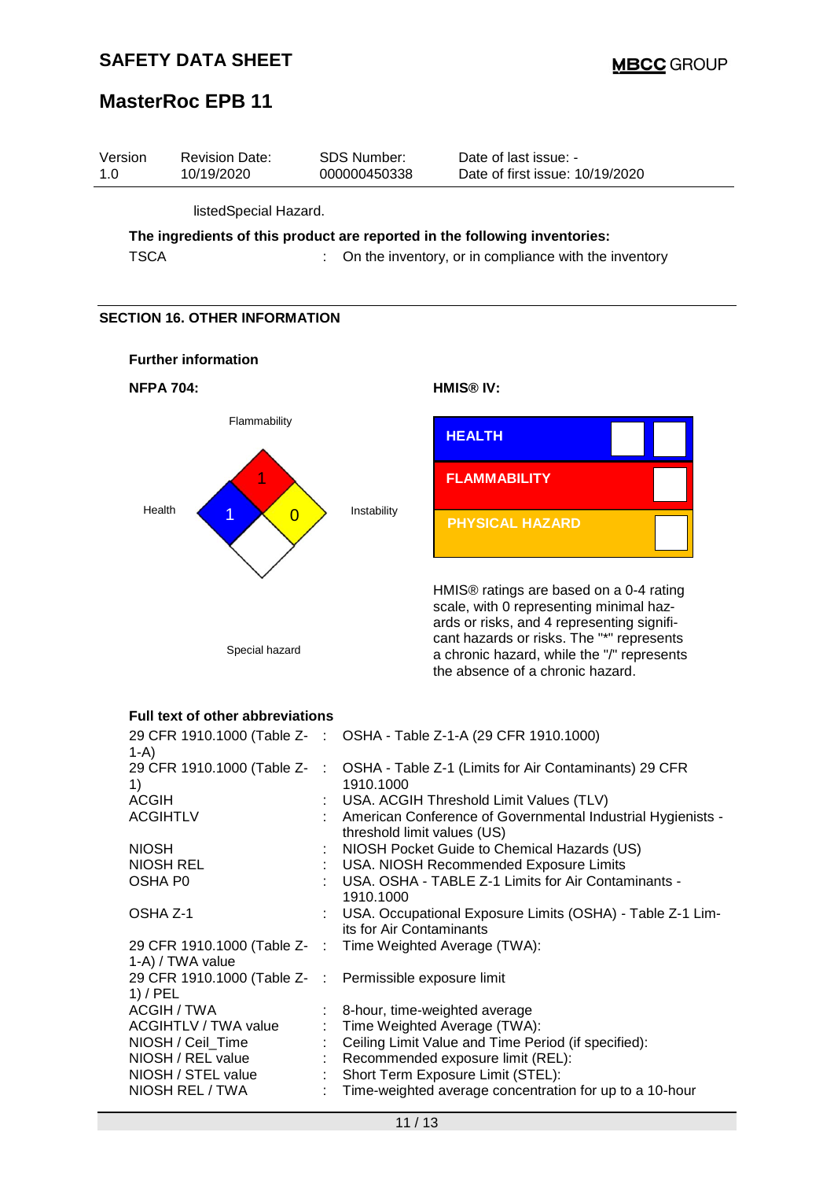



the absence of a chronic hazard.

## **Full text of other abbreviations**

| $1-A$                                                                 | 29 CFR 1910.1000 (Table Z- : OSHA - Table Z-1-A (29 CFR 1910.1000)                           |
|-----------------------------------------------------------------------|----------------------------------------------------------------------------------------------|
| 29 CFR 1910.1000 (Table Z- :<br>1)                                    | OSHA - Table Z-1 (Limits for Air Contaminants) 29 CFR<br>1910.1000                           |
| <b>ACGIH</b>                                                          | : USA. ACGIH Threshold Limit Values (TLV)                                                    |
| <b>ACGIHTLV</b>                                                       | : American Conference of Governmental Industrial Hygienists -<br>threshold limit values (US) |
| <b>NIOSH</b>                                                          | : NIOSH Pocket Guide to Chemical Hazards (US)                                                |
| NIOSH REL                                                             | : USA. NIOSH Recommended Exposure Limits                                                     |
| OSHA P0                                                               | : USA. OSHA - TABLE Z-1 Limits for Air Contaminants -<br>1910.1000                           |
| OSHA Z-1                                                              | : USA. Occupational Exposure Limits (OSHA) - Table Z-1 Lim-<br>its for Air Contaminants      |
| 1-A) / TWA value                                                      | 29 CFR 1910.1000 (Table Z- : Time Weighted Average (TWA):                                    |
| 29 CFR 1910.1000 (Table Z- : Permissible exposure limit<br>$1)$ / PEL |                                                                                              |
| ACGIH / TWA                                                           | 8-hour, time-weighted average                                                                |
| ACGIHTLV / TWA value                                                  | : Time Weighted Average (TWA):                                                               |
| NIOSH / Ceil_Time                                                     | Ceiling Limit Value and Time Period (if specified):                                          |
| NIOSH / REL value                                                     | : Recommended exposure limit (REL):                                                          |
| NIOSH / STEL value                                                    | : Short Term Exposure Limit (STEL):                                                          |
| NIOSH REL / TWA                                                       | Time-weighted average concentration for up to a 10-hour                                      |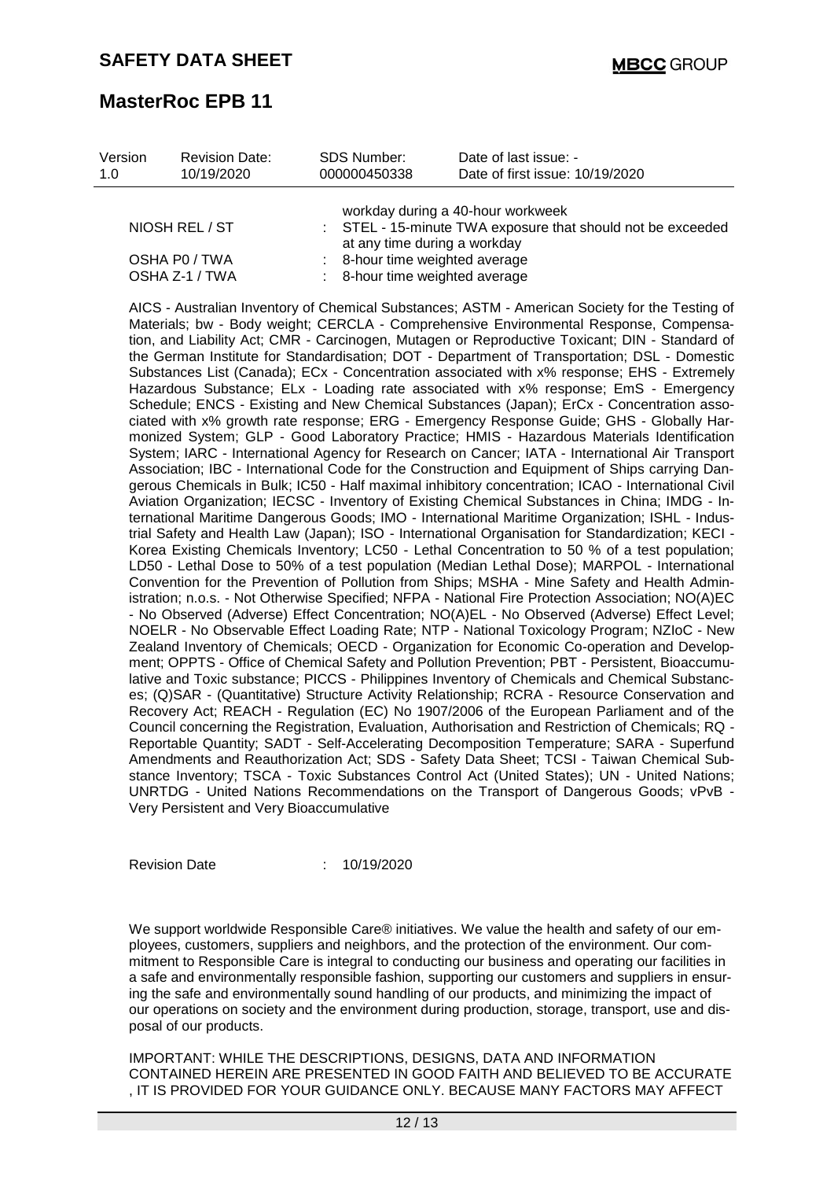| Version<br>1.0 | <b>Revision Date:</b><br>10/19/2020 | SDS Number:<br>000000450338 | Date of last issue: -<br>Date of first issue: 10/19/2020                                         |
|----------------|-------------------------------------|-----------------------------|--------------------------------------------------------------------------------------------------|
|                | NIOSH REL / ST                      |                             | workday during a 40-hour workweek<br>: STEL - 15-minute TWA exposure that should not be exceeded |
|                | OSHA PO / TWA<br>OSHA Z-1 / TWA     |                             | at any time during a workday<br>8-hour time weighted average<br>8-hour time weighted average     |

AICS - Australian Inventory of Chemical Substances; ASTM - American Society for the Testing of Materials; bw - Body weight; CERCLA - Comprehensive Environmental Response, Compensation, and Liability Act; CMR - Carcinogen, Mutagen or Reproductive Toxicant; DIN - Standard of the German Institute for Standardisation; DOT - Department of Transportation; DSL - Domestic Substances List (Canada); ECx - Concentration associated with x% response; EHS - Extremely Hazardous Substance; ELx - Loading rate associated with x% response; EmS - Emergency Schedule; ENCS - Existing and New Chemical Substances (Japan); ErCx - Concentration associated with x% growth rate response; ERG - Emergency Response Guide; GHS - Globally Harmonized System; GLP - Good Laboratory Practice; HMIS - Hazardous Materials Identification System; IARC - International Agency for Research on Cancer; IATA - International Air Transport Association; IBC - International Code for the Construction and Equipment of Ships carrying Dangerous Chemicals in Bulk; IC50 - Half maximal inhibitory concentration; ICAO - International Civil Aviation Organization; IECSC - Inventory of Existing Chemical Substances in China; IMDG - International Maritime Dangerous Goods; IMO - International Maritime Organization; ISHL - Industrial Safety and Health Law (Japan); ISO - International Organisation for Standardization; KECI - Korea Existing Chemicals Inventory; LC50 - Lethal Concentration to 50 % of a test population; LD50 - Lethal Dose to 50% of a test population (Median Lethal Dose); MARPOL - International Convention for the Prevention of Pollution from Ships; MSHA - Mine Safety and Health Administration; n.o.s. - Not Otherwise Specified; NFPA - National Fire Protection Association; NO(A)EC - No Observed (Adverse) Effect Concentration; NO(A)EL - No Observed (Adverse) Effect Level; NOELR - No Observable Effect Loading Rate; NTP - National Toxicology Program; NZIoC - New Zealand Inventory of Chemicals; OECD - Organization for Economic Co-operation and Development; OPPTS - Office of Chemical Safety and Pollution Prevention; PBT - Persistent, Bioaccumulative and Toxic substance; PICCS - Philippines Inventory of Chemicals and Chemical Substances; (Q)SAR - (Quantitative) Structure Activity Relationship; RCRA - Resource Conservation and Recovery Act; REACH - Regulation (EC) No 1907/2006 of the European Parliament and of the Council concerning the Registration, Evaluation, Authorisation and Restriction of Chemicals; RQ - Reportable Quantity; SADT - Self-Accelerating Decomposition Temperature; SARA - Superfund Amendments and Reauthorization Act; SDS - Safety Data Sheet; TCSI - Taiwan Chemical Substance Inventory; TSCA - Toxic Substances Control Act (United States); UN - United Nations; UNRTDG - United Nations Recommendations on the Transport of Dangerous Goods; vPvB - Very Persistent and Very Bioaccumulative

Revision Date : 10/19/2020

We support worldwide Responsible Care® initiatives. We value the health and safety of our employees, customers, suppliers and neighbors, and the protection of the environment. Our commitment to Responsible Care is integral to conducting our business and operating our facilities in a safe and environmentally responsible fashion, supporting our customers and suppliers in ensuring the safe and environmentally sound handling of our products, and minimizing the impact of our operations on society and the environment during production, storage, transport, use and disposal of our products.

IMPORTANT: WHILE THE DESCRIPTIONS, DESIGNS, DATA AND INFORMATION CONTAINED HEREIN ARE PRESENTED IN GOOD FAITH AND BELIEVED TO BE ACCURATE , IT IS PROVIDED FOR YOUR GUIDANCE ONLY. BECAUSE MANY FACTORS MAY AFFECT